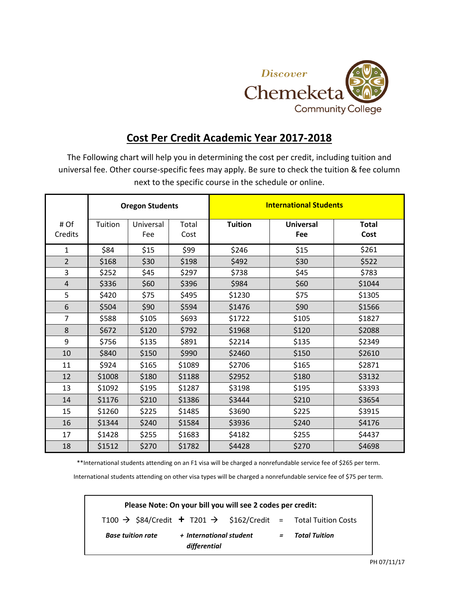

## **Cost Per Credit Academic Year 2017-2018**

The Following chart will help you in determining the cost per credit, including tuition and universal fee. Other course-specific fees may apply. Be sure to check the tuition & fee column next to the specific course in the schedule or online.

|                | <b>Oregon Students</b> |           |        | <b>International Students</b> |                  |              |  |
|----------------|------------------------|-----------|--------|-------------------------------|------------------|--------------|--|
| # Of           | Tuition                | Universal | Total  | <b>Tuition</b>                | <b>Universal</b> | <b>Total</b> |  |
| Credits        |                        | Fee       | Cost   |                               | Fee              | Cost         |  |
| $\mathbf{1}$   | \$84                   | \$15      | \$99   | \$246                         | \$15             | \$261        |  |
| $\overline{2}$ | \$168                  | \$30      | \$198  | \$492                         | \$30             | \$522        |  |
| 3              | \$252                  | \$45      | \$297  | \$738                         | \$45             | \$783        |  |
| $\overline{4}$ | \$336                  | \$60      | \$396  | \$984                         | \$60             | \$1044       |  |
| 5              | \$420                  | \$75      | \$495  | \$1230                        | \$75             | \$1305       |  |
| 6              | \$504                  | \$90      | \$594  | \$1476                        | \$90             | \$1566       |  |
| $\overline{7}$ | \$588                  | \$105     | \$693  | \$1722                        | \$105            | \$1827       |  |
| 8              | \$672                  | \$120     | \$792  | \$1968                        | \$120            | \$2088       |  |
| 9              | \$756                  | \$135     | \$891  | \$2214                        | \$135            | \$2349       |  |
| 10             | \$840                  | \$150     | \$990  | \$2460                        | \$150            | \$2610       |  |
| 11             | \$924                  | \$165     | \$1089 | \$2706                        | \$165            | \$2871       |  |
| 12             | \$1008                 | \$180     | \$1188 | \$2952                        | \$180            | \$3132       |  |
| 13             | \$1092                 | \$195     | \$1287 | \$3198                        | \$195            | \$3393       |  |
| 14             | \$1176                 | \$210     | \$1386 | \$3444                        | \$210            | \$3654       |  |
| 15             | \$1260                 | \$225     | \$1485 | \$3690                        | \$225            | \$3915       |  |
| 16             | \$1344                 | \$240     | \$1584 | \$3936                        | \$240            | \$4176       |  |
| 17             | \$1428                 | \$255     | \$1683 | \$4182                        | \$255            | \$4437       |  |
| 18             | \$1512                 | \$270     | \$1782 | \$4428                        | \$270            | \$4698       |  |

\*\*International students attending on an F1 visa will be charged a nonrefundable service fee of \$265 per term.

International students attending on other visa types will be charged a nonrefundable service fee of \$75 per term.